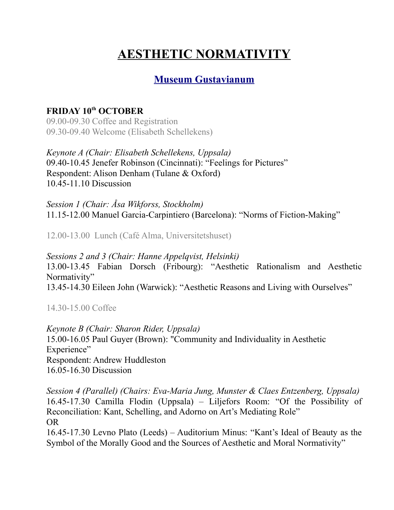## **AESTHETIC NORMATIVITY**

## **[Museum Gustavianum](http://www.gustavianum.uu.se/en/?languageId=1)**

## **FRIDAY 10th OCTOBER**

09.00-09.30 Coffee and Registration 09.30-09.40 Welcome (Elisabeth Schellekens)

*Keynote A (Chair: Elisabeth Schellekens, Uppsala)* 09.40-10.45 Jenefer Robinson (Cincinnati): "Feelings for Pictures" Respondent: Alison Denham (Tulane & Oxford) 10.45-11.10 Discussion

*Session 1 (Chair: Åsa Wikforss, Stockholm)* 11.15-12.00 Manuel Garcia-Carpintiero (Barcelona): "Norms of Fiction-Making"

12.00-13.00 Lunch (Café Alma, Universitetshuset)

*Sessions 2 and 3 (Chair: Hanne Appelqvist, Helsinki)* 13.00-13.45 Fabian Dorsch (Fribourg): "Aesthetic Rationalism and Aesthetic Normativity" 13.45-14.30 Eileen John (Warwick): "Aesthetic Reasons and Living with Ourselves"

14.30-15.00 Coffee

*Keynote B (Chair: Sharon Rider, Uppsala)* 15.00-16.05 Paul Guyer (Brown): "Community and Individuality in Aesthetic Experience" Respondent: Andrew Huddleston 16.05-16.30 Discussion

*Session 4 (Parallel) (Chairs: Eva-Maria Jung, Munster & Claes Entzenberg, Uppsala)* 16.45-17.30 Camilla Flodin (Uppsala) – Liljefors Room: "Of the Possibility of Reconciliation: Kant, Schelling, and Adorno on Art's Mediating Role" OR

16.45-17.30 Levno Plato (Leeds) – Auditorium Minus: "Kant's Ideal of Beauty as the Symbol of the Morally Good and the Sources of Aesthetic and Moral Normativity"